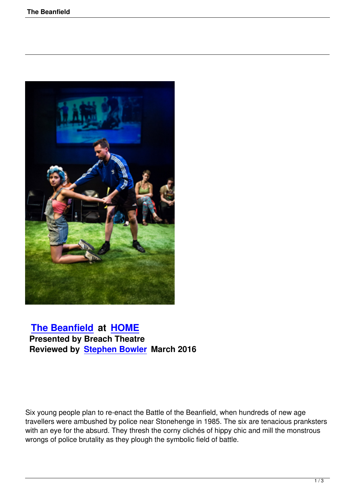

## **The Beanfield at HOME Presented by Breach Theatre [Reviewed by Ste](the-beanfield.html)ph[en Bowle](http://www.homemcr.org)r March 2016**

Six young people plan to re-enact the Battle of the Beanfield, when hundreds of new age travellers were ambushed by police near Stonehenge in 1985. The six are tenacious pranksters with an eye for the absurd. They thresh the corny clichés of hippy chic and mill the monstrous wrongs of police brutality as they plough the symbolic field of battle.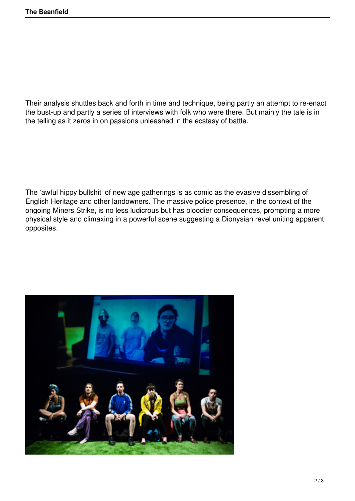Their analysis shuttles back and forth in time and technique, being partly an attempt to re-enact the bust-up and partly a series of interviews with folk who were there. But mainly the tale is in the telling as it zeros in on passions unleashed in the ecstasy of battle.

The 'awful hippy bullshit' of new age gatherings is as comic as the evasive dissembling of English Heritage and other landowners. The massive police presence, in the context of the ongoing Miners Strike, is no less ludicrous but has bloodier consequences, prompting a more physical style and climaxing in a powerful scene suggesting a Dionysian revel uniting apparent opposites.